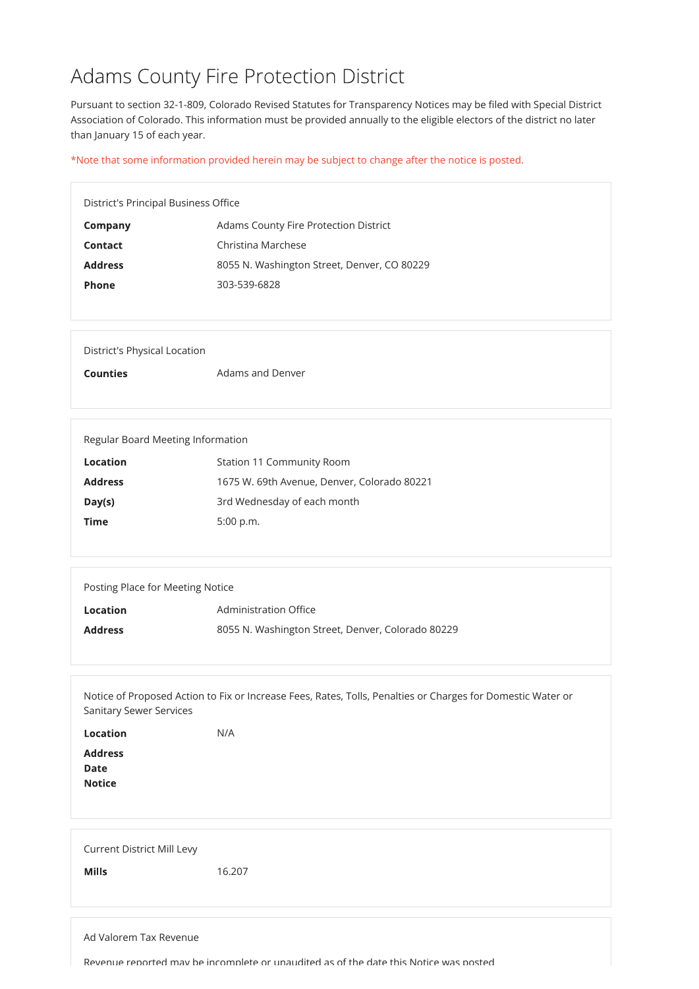## Adams County Fire Protection District

Pursuant to section 32-1-809, Colorado Revised Statutes for Transparency Notices may be filed with Special District Association of Colorado. This information must be provided annually to the eligible electors of the district no later than January 15 of each year.

| Regular Board Meeting Information |                                             |  |
|-----------------------------------|---------------------------------------------|--|
| Location                          | <b>Station 11 Community Room</b>            |  |
| <b>Address</b>                    | 1675 W. 69th Avenue, Denver, Colorado 80221 |  |
| Day(s)                            | 3rd Wednesday of each month                 |  |
| <b>Time</b>                       | 5:00 p.m.                                   |  |

\*Note that some information provided herein may be subject to change after the notice is posted.

District's Principal Business Office

| <b>Company</b> | <b>Adams County Fire Protection District</b> |
|----------------|----------------------------------------------|
| <b>Contact</b> | Christina Marchese                           |
| <b>Address</b> | 8055 N. Washington Street, Denver, CO 80229  |
| <b>Phone</b>   | 303-539-6828                                 |

| <b>Address</b><br><b>Date</b><br><b>Notice</b>    |        |
|---------------------------------------------------|--------|
| <b>Current District Mill Levy</b><br><b>Mills</b> | 16.207 |

**Counties Adams and Denver** 

| Posting Place for Meeting Notice |                                                   |
|----------------------------------|---------------------------------------------------|
| <b>Location</b>                  | <b>Administration Office</b>                      |
| <b>Address</b>                   | 8055 N. Washington Street, Denver, Colorado 80229 |
|                                  |                                                   |

Notice of Proposed Action to Fix or Increase Fees, Rates, Tolls, Penalties or Charges for Domestic Water or Sanitary Sewer Services

Location N/A

Ad Valorem Tax Revenue

Revenue reported may be incomplete or unaudited as of the date this Notice was posted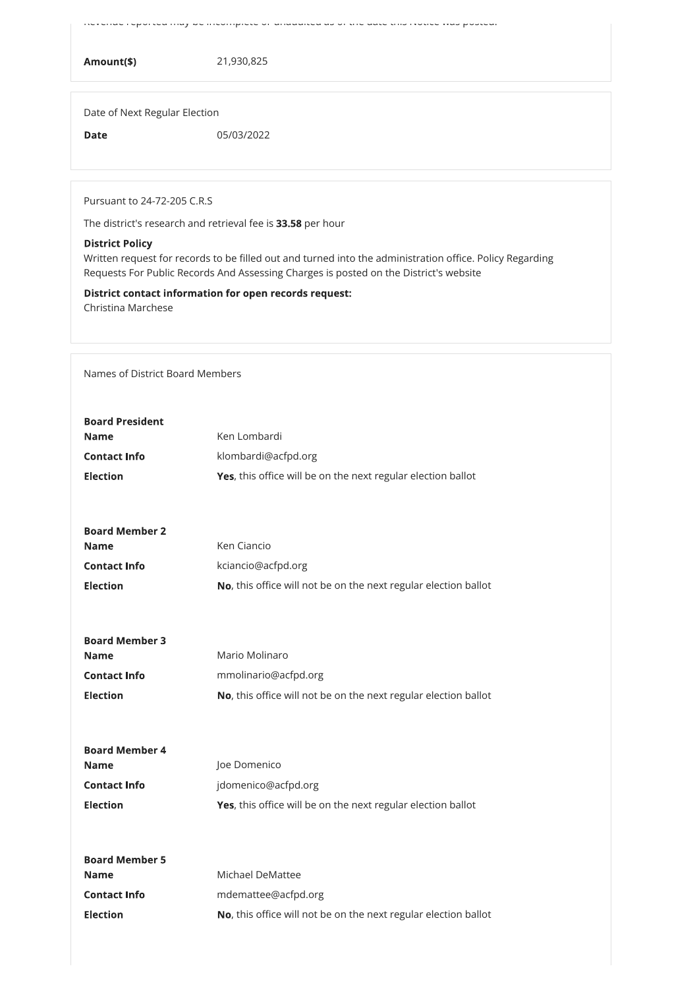Revenue reported may be incomplete or unaudited as of the date this Notice was posted.

Amount(\$) 21,930,825

Date of Next Regular Election

Date 05/03/2022

Pursuant to 24-72-205 C.R.S

The district's research and retrieval fee is 33.58 per hour

Written request for records to be filled out and turned into the administration office. Policy Regarding Requests For Public Records And Assessing Charges is posted on the District's website

## District Policy

District contact information for open records request:

Christina Marchese

Names of District Board Members

| <b>Board President</b> |                                                                 |
|------------------------|-----------------------------------------------------------------|
| <b>Name</b>            | Ken Lombardi                                                    |
| <b>Contact Info</b>    | klombardi@acfpd.org                                             |
| <b>Election</b>        | Yes, this office will be on the next regular election ballot    |
|                        |                                                                 |
|                        |                                                                 |
| <b>Board Member 2</b>  |                                                                 |
| <b>Name</b>            | <b>Ken Ciancio</b>                                              |
| <b>Contact Info</b>    | kciancio@acfpd.org                                              |
| <b>Election</b>        | No, this office will not be on the next regular election ballot |
|                        |                                                                 |
|                        |                                                                 |
| <b>Board Member 3</b>  |                                                                 |
| <b>Name</b>            | Mario Molinaro                                                  |
| <b>Contact Info</b>    | mmolinario@acfpd.org                                            |
| <b>Election</b>        | No, this office will not be on the next regular election ballot |
|                        |                                                                 |

| <b>Board Member 4</b> |                                                                 |
|-----------------------|-----------------------------------------------------------------|
| <b>Name</b>           | Joe Domenico                                                    |
| <b>Contact Info</b>   | jdomenico@acfpd.org                                             |
| <b>Election</b>       | Yes, this office will be on the next regular election ballot    |
|                       |                                                                 |
|                       |                                                                 |
| <b>Board Member 5</b> |                                                                 |
| <b>Name</b>           | Michael DeMattee                                                |
| <b>Contact Info</b>   | mdemattee@acfpd.org                                             |
| <b>Election</b>       | No, this office will not be on the next regular election ballot |
|                       |                                                                 |